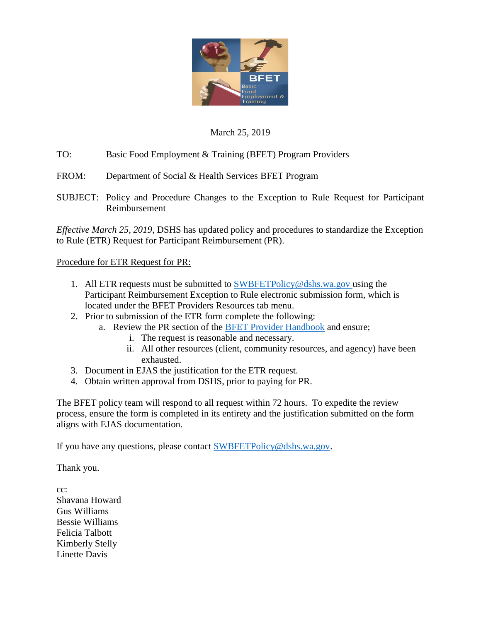

## March 25, 2019

TO: Basic Food Employment & Training (BFET) Program Providers

FROM: Department of Social & Health Services BFET Program

SUBJECT: Policy and Procedure Changes to the Exception to Rule Request for Participant Reimbursement

*Effective March 25, 2019*, DSHS has updated policy and procedures to standardize the Exception to Rule (ETR) Request for Participant Reimbursement (PR).

Procedure for ETR Request for PR:

- 1. All ETR requests must be submitted to  $\frac{\text{SWBFETPolicy}\textcircled{d} \text{d} \text{sh} \text{s} \cdot \text{wa.gov}}{\text{using the}}}$ Participant Reimbursement Exception to Rule electronic submission form, which is located under the BFET Providers Resources tab menu.
- 2. Prior to submission of the ETR form complete the following:
	- a. Review the PR section of the [BFET Provider Handbook](https://www.dshs.wa.gov/sites/default/files/ESA/csd/documents/BFET/BFET%20Provider%20Handbook.October%202018.pdf) and ensure;
		- i. The request is reasonable and necessary.
		- ii. All other resources (client, community resources, and agency) have been exhausted.
- 3. Document in EJAS the justification for the ETR request.
- 4. Obtain written approval from DSHS, prior to paying for PR.

The BFET policy team will respond to all request within 72 hours. To expedite the review process, ensure the form is completed in its entirety and the justification submitted on the form aligns with EJAS documentation.

If you have any questions, please contact [SWBFETPolicy@dshs.wa.gov.](mailto:SWBFETPolicy@dshs.wa.gov)

Thank you.

cc: Shavana Howard Gus Williams Bessie Williams Felicia Talbott Kimberly Stelly Linette Davis